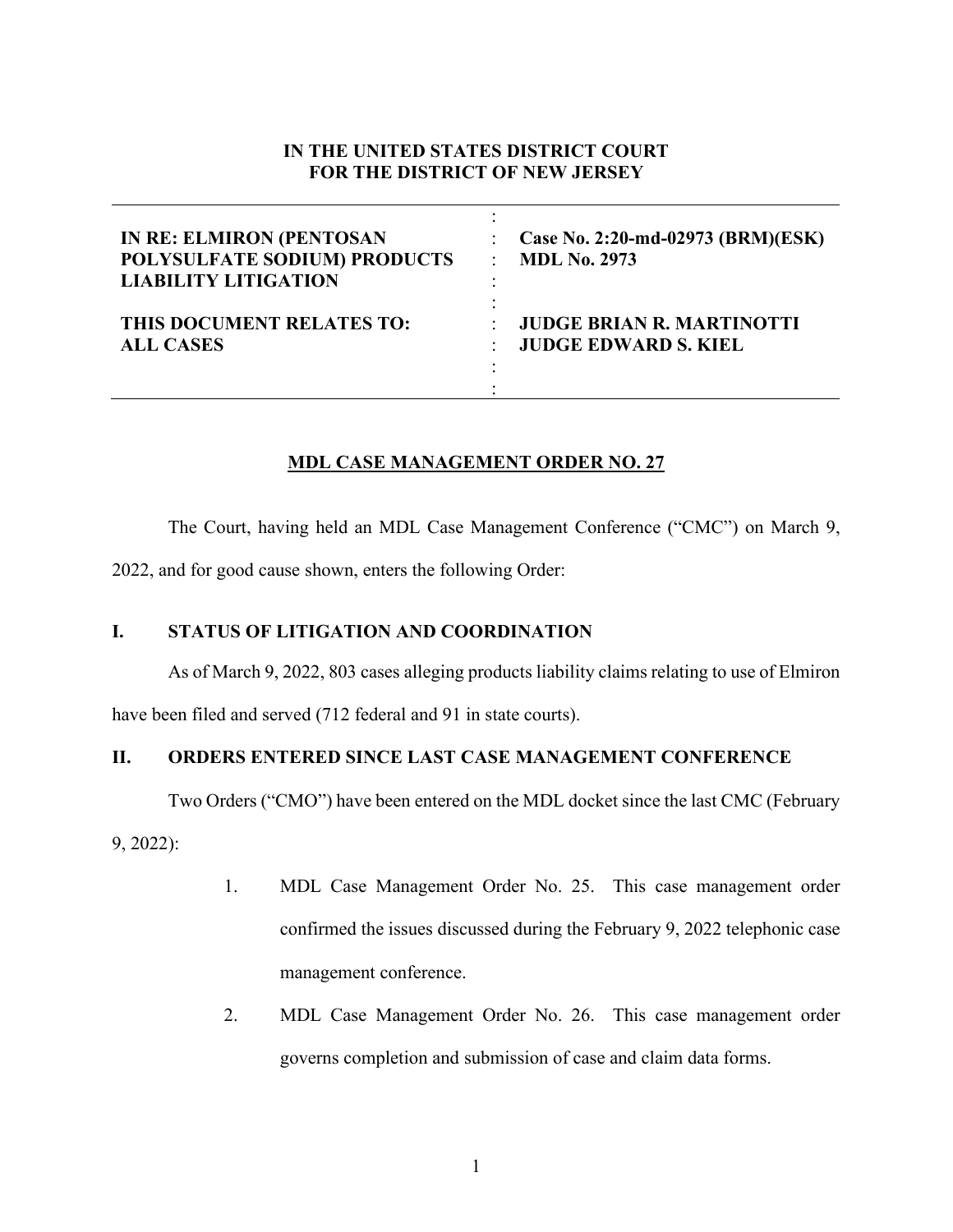# **IN THE UNITED STATES DISTRICT COURT FOR THE DISTRICT OF NEW JERSEY**

| <b>IN RE: ELMIRON (PENTOSAN</b> | Case No. 2:20-md-02973 (BRM)(ESK) |
|---------------------------------|-----------------------------------|
| POLYSULFATE SODIUM) PRODUCTS    | <b>MDL No. 2973</b>               |
| <b>LIABILITY LITIGATION</b>     | ۰                                 |
| THIS DOCUMENT RELATES TO:       | <b>JUDGE BRIAN R. MARTINOTTI</b>  |
| <b>ALL CASES</b>                | <b>JUDGE EDWARD S. KIEL</b>       |

## **MDL CASE MANAGEMENT ORDER NO. 27**

The Court, having held an MDL Case Management Conference ("CMC") on March 9,

2022, and for good cause shown, enters the following Order:

## **I. STATUS OF LITIGATION AND COORDINATION**

As of March 9, 2022, 803 cases alleging products liability claims relating to use of Elmiron

have been filed and served (712 federal and 91 in state courts).

## **II. ORDERS ENTERED SINCE LAST CASE MANAGEMENT CONFERENCE**

Two Orders ("CMO") have been entered on the MDL docket since the last CMC (February

9, 2022):

- 1. MDL Case Management Order No. 25. This case management order confirmed the issues discussed during the February 9, 2022 telephonic case management conference.
- 2. MDL Case Management Order No. 26. This case management order governs completion and submission of case and claim data forms.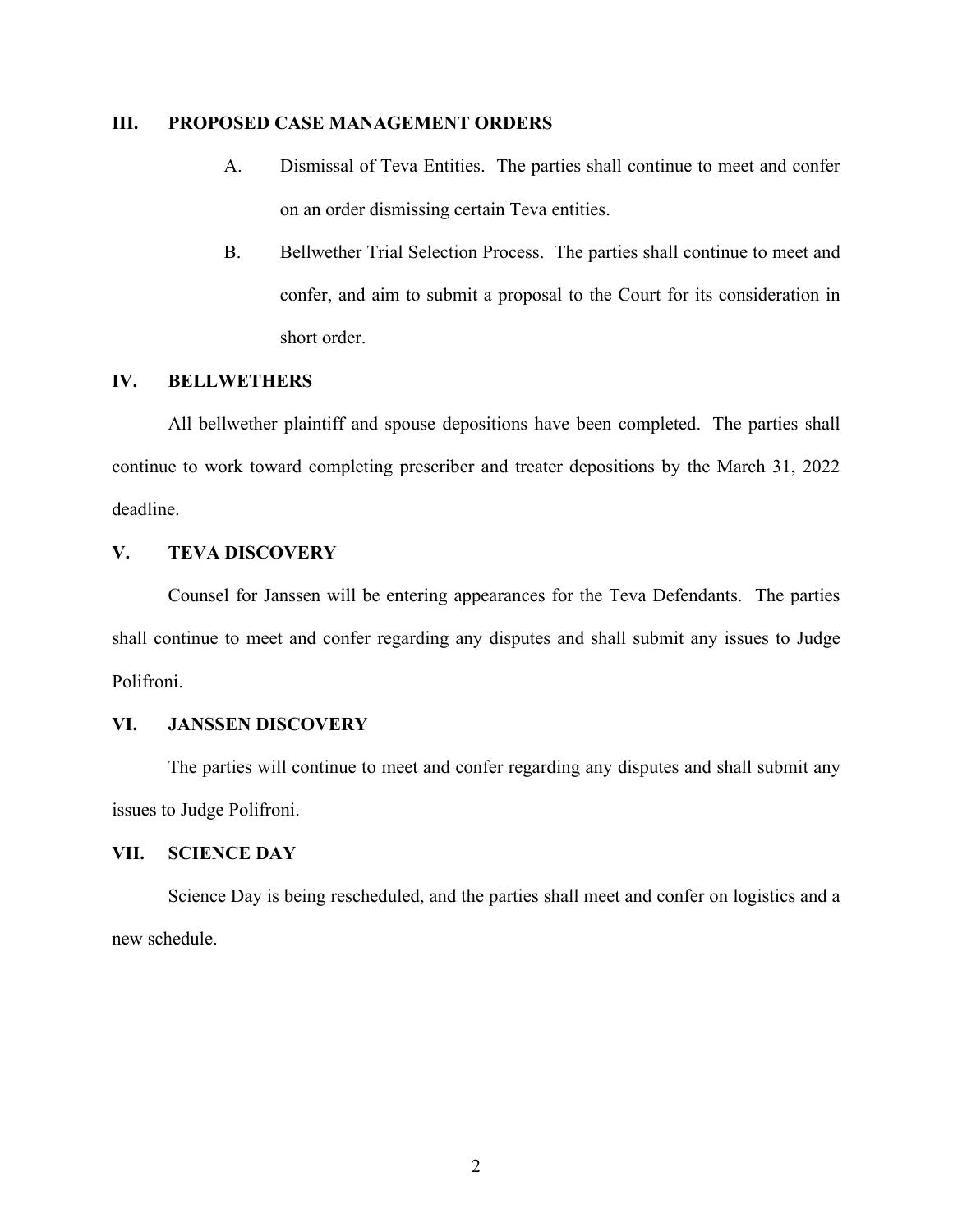#### **III. PROPOSED CASE MANAGEMENT ORDERS**

- A. Dismissal of Teva Entities. The parties shall continue to meet and confer on an order dismissing certain Teva entities.
- B. Bellwether Trial Selection Process. The parties shall continue to meet and confer, and aim to submit a proposal to the Court for its consideration in short order.

#### **IV. BELLWETHERS**

All bellwether plaintiff and spouse depositions have been completed. The parties shall continue to work toward completing prescriber and treater depositions by the March 31, 2022 deadline.

# **V. TEVA DISCOVERY**

Counsel for Janssen will be entering appearances for the Teva Defendants. The parties shall continue to meet and confer regarding any disputes and shall submit any issues to Judge Polifroni.

#### **VI. JANSSEN DISCOVERY**

The parties will continue to meet and confer regarding any disputes and shall submit any issues to Judge Polifroni.

#### **VII. SCIENCE DAY**

Science Day is being rescheduled, and the parties shall meet and confer on logistics and a new schedule.